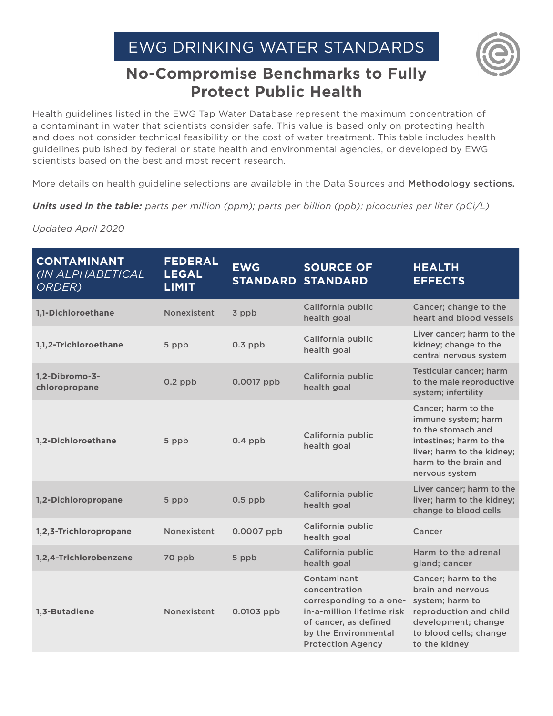

## **No-Compromise Benchmarks to Fully Protect Public Health**

Health guidelines listed in the EWG Tap Water Database represent the maximum concentration of a contaminant in water that scientists consider safe. This value is based only on protecting health and does not consider technical feasibility or the cost of water treatment. This table includes health guidelines published by federal or state health and environmental agencies, or developed by EWG scientists based on the best and most recent research.

More details on health guideline selections are available in the Data Sources and [Methodology sections](http://www.ewg.org/tapwater/methodology.php).

*Units used in the table: parts per million (ppm); parts per billion (ppb); picocuries per liter (pCi/L)*

**CONTAMINANT**  *(IN ALPHABETICAL ORDER)* **FEDERAL LEGAL LIMIT EWG STANDARD STANDARD SOURCE OF HEALTH EFFECTS [1,1-Dichloroethane](http://www.ewg.org/tapwater/contaminant.php?contamcode=2978) 1,1-Dichloroethane Nonexistent** 3 ppb California public health goal Cancer; change to the heart and blood vessels **[1,1,2-Trichloroethane](http://www.ewg.org/tapwater/contaminant.php?contamcode=2985)** 5 ppb 0.3 ppb California public health goal Liver cancer; harm to the kidney; change to the central nervous system **[1,2-Dibromo-3](https://www.ewg.org/tapwater/contaminant.php?contamcode=2931) [chloropropane](https://www.ewg.org/tapwater/contaminant.php?contamcode=2931)** 0.2 ppb 0.0017 ppb California public health goal Testicular cancer; harm to the male reproductive system; infertility **[1,2-Dichloroethane](http://www.ewg.org/tapwater/contaminant.php?contamcode=2980)** 5 ppb 0.4 ppb California public health goal Cancer; harm to the immune system; harm to the stomach and intestines; harm to the liver; harm to the kidney; harm to the brain and nervous system **[1,2-Dichloropropane](http://www.ewg.org/tapwater/contaminant.php?contamcode=2983)** 5 ppb 0.5 ppb California public health goal Liver cancer; harm to the liver; harm to the kidney; change to blood cells **[1,2,3-Trichloropropane](http://www.ewg.org/tapwater/contaminant.php?contamcode=2414)** Nonexistent 0.0007 ppb California public health goal Cancer **[1,2,4-Trichlorobenzene](http://www.ewg.org/tapwater/contaminant.php?contamcode=2378)** 70 ppb 5 ppb California public health goal Harm to the adrenal gland; cancer **[1,3-Butadiene](http://www.ewg.org/tapwater/contaminant.php?contamcode=E273)** Nonexistent 0.0103 ppb Contaminant concentration corresponding to a onein-a-million lifetime risk of cancer, as defined by the Environmental Protection Agency Cancer; harm to the brain and nervous system; harm to reproduction and child development; change to blood cells; change to the kidney

*Updated April 2020*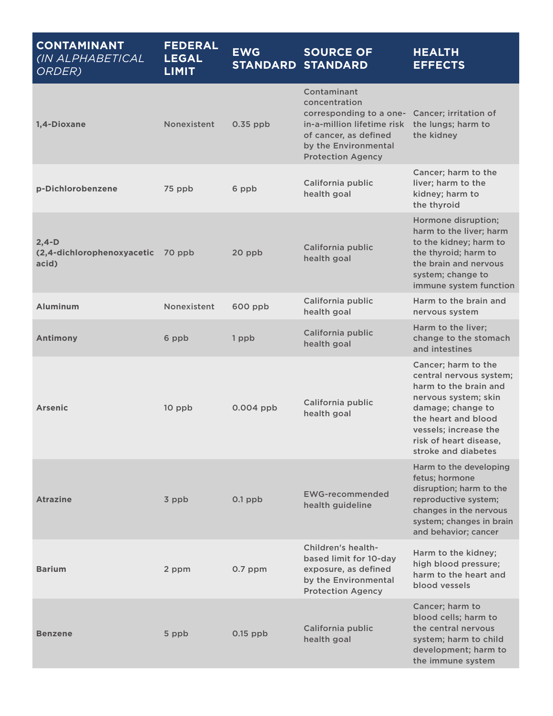| <b>CONTAMINANT</b><br>(IN ALPHABETICAL<br>ORDER) | <b>FEDERAL</b><br><b>LEGAL</b><br><b>LIMIT</b> | <b>EWG</b>  | <b>SOURCE OF</b><br><b>STANDARD STANDARD</b>                                                                                                                       | <b>HEALTH</b><br><b>EFFECTS</b>                                                                                                                                                                                       |
|--------------------------------------------------|------------------------------------------------|-------------|--------------------------------------------------------------------------------------------------------------------------------------------------------------------|-----------------------------------------------------------------------------------------------------------------------------------------------------------------------------------------------------------------------|
| 1,4-Dioxane                                      | Nonexistent                                    | $0.35$ ppb  | Contaminant<br>concentration<br>corresponding to a one-<br>in-a-million lifetime risk<br>of cancer, as defined<br>by the Environmental<br><b>Protection Agency</b> | Cancer; irritation of<br>the lungs; harm to<br>the kidney                                                                                                                                                             |
| p-Dichlorobenzene                                | 75 ppb                                         | 6 ppb       | California public<br>health goal                                                                                                                                   | Cancer; harm to the<br>liver; harm to the<br>kidney; harm to<br>the thyroid                                                                                                                                           |
| $2,4-D$<br>(2,4-dichlorophenoxyacetic<br>acid)   | 70 ppb                                         | 20 ppb      | California public<br>health goal                                                                                                                                   | Hormone disruption;<br>harm to the liver; harm<br>to the kidney; harm to<br>the thyroid; harm to<br>the brain and nervous<br>system; change to<br>immune system function                                              |
| <b>Aluminum</b>                                  | Nonexistent                                    | 600 ppb     | California public<br>health goal                                                                                                                                   | Harm to the brain and<br>nervous system                                                                                                                                                                               |
| <b>Antimony</b>                                  | 6 ppb                                          | 1 ppb       | California public<br>health goal                                                                                                                                   | Harm to the liver;<br>change to the stomach<br>and intestines                                                                                                                                                         |
| <b>Arsenic</b>                                   | 10 ppb                                         | $0.004$ ppb | California public<br>health goal                                                                                                                                   | Cancer; harm to the<br>central nervous system;<br>harm to the brain and<br>nervous system; skin<br>damage; change to<br>the heart and blood<br>vessels; increase the<br>risk of heart disease,<br>stroke and diabetes |
| <b>Atrazine</b>                                  | 3 ppb                                          | $0.1$ ppb   | <b>EWG-recommended</b><br>health guideline                                                                                                                         | Harm to the developing<br>fetus; hormone<br>disruption; harm to the<br>reproductive system;<br>changes in the nervous<br>system; changes in brain<br>and behavior; cancer                                             |
| <b>Barium</b>                                    | 2 ppm                                          | $0.7$ ppm   | Children's health-<br>based limit for 10-day<br>exposure, as defined<br>by the Environmental<br><b>Protection Agency</b>                                           | Harm to the kidney;<br>high blood pressure;<br>harm to the heart and<br>blood vessels                                                                                                                                 |
| <b>Benzene</b>                                   | 5 ppb                                          | $0.15$ ppb  | California public<br>health goal                                                                                                                                   | Cancer; harm to<br>blood cells; harm to<br>the central nervous<br>system; harm to child<br>development; harm to<br>the immune system                                                                                  |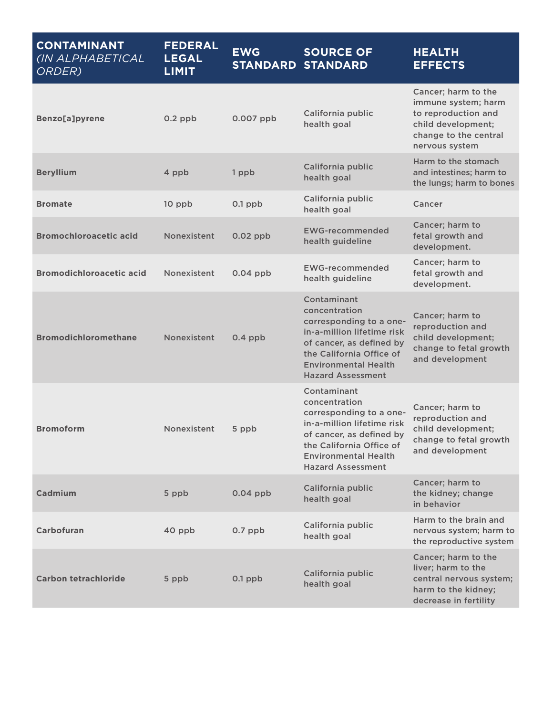| <b>CONTAMINANT</b><br>(IN ALPHABETICAL<br>ORDER) | <b>FEDERAL</b><br><b>LEGAL</b><br><b>LIMIT</b> | <b>EWG</b>  | <b>SOURCE OF</b><br><b>STANDARD STANDARD</b>                                                                                                                                                             | <b>HEALTH</b><br><b>EFFECTS</b>                                                                                                    |
|--------------------------------------------------|------------------------------------------------|-------------|----------------------------------------------------------------------------------------------------------------------------------------------------------------------------------------------------------|------------------------------------------------------------------------------------------------------------------------------------|
| <b>Benzo[a]pyrene</b>                            | $0.2$ ppb                                      | $0.007$ ppb | California public<br>health goal                                                                                                                                                                         | Cancer; harm to the<br>immune system; harm<br>to reproduction and<br>child development;<br>change to the central<br>nervous system |
| <b>Beryllium</b>                                 | 4 ppb                                          | 1 ppb       | California public<br>health goal                                                                                                                                                                         | Harm to the stomach<br>and intestines; harm to<br>the lungs; harm to bones                                                         |
| <b>Bromate</b>                                   | 10 ppb                                         | $0.1$ ppb   | California public<br>health goal                                                                                                                                                                         | Cancer                                                                                                                             |
| <b>Bromochloroacetic acid</b>                    | Nonexistent                                    | $0.02$ ppb  | <b>EWG-recommended</b><br>health guideline                                                                                                                                                               | Cancer; harm to<br>fetal growth and<br>development.                                                                                |
| <b>Bromodichloroacetic acid</b>                  | Nonexistent                                    | $0.04$ ppb  | <b>EWG-recommended</b><br>health guideline                                                                                                                                                               | Cancer; harm to<br>fetal growth and<br>development.                                                                                |
| <b>Bromodichloromethane</b>                      | Nonexistent                                    | $0.4$ ppb   | Contaminant<br>concentration<br>corresponding to a one-<br>in-a-million lifetime risk<br>of cancer, as defined by<br>the California Office of<br><b>Environmental Health</b><br><b>Hazard Assessment</b> | Cancer; harm to<br>reproduction and<br>child development;<br>change to fetal growth<br>and development                             |
| <b>Bromoform</b>                                 | Nonexistent                                    | 5 ppb       | Contaminant<br>concentration<br>corresponding to a one-<br>in-a-million lifetime risk<br>of cancer, as defined by<br>the California Office of<br><b>Environmental Health</b><br><b>Hazard Assessment</b> | Cancer; harm to<br>reproduction and<br>child development;<br>change to fetal growth<br>and development                             |
| Cadmium                                          | 5 ppb                                          | $0.04$ ppb  | California public<br>health goal                                                                                                                                                                         | Cancer; harm to<br>the kidney; change<br>in behavior                                                                               |
| Carbofuran                                       | 40 ppb                                         | $0.7$ ppb   | California public<br>health goal                                                                                                                                                                         | Harm to the brain and<br>nervous system; harm to<br>the reproductive system                                                        |
| <b>Carbon tetrachloride</b>                      | 5 ppb                                          | $0.1$ ppb   | California public<br>health goal                                                                                                                                                                         | Cancer; harm to the<br>liver; harm to the<br>central nervous system;<br>harm to the kidney;<br>decrease in fertility               |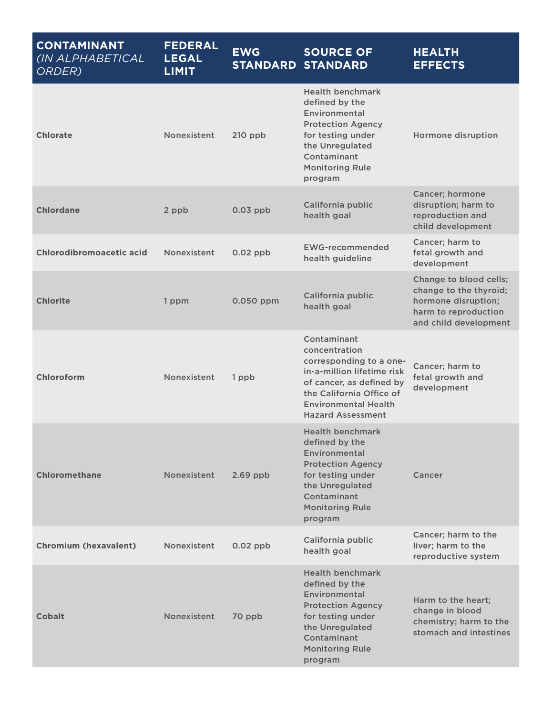| <b>CONTAMINANT</b><br>(IN ALPHABETICAL<br>ORDER) | <b>FEDERAL</b><br><b>LEGAL</b><br><b>LIMIT</b> | <b>EWG</b> | <b>SOURCE OF</b><br><b>STANDARD STANDARD</b>                                                                                                                                                             | <b>HEALTH</b><br><b>EFFECTS</b>                                                                                          |
|--------------------------------------------------|------------------------------------------------|------------|----------------------------------------------------------------------------------------------------------------------------------------------------------------------------------------------------------|--------------------------------------------------------------------------------------------------------------------------|
| <b>Chlorate</b>                                  | Nonexistent                                    | $210$ ppb  | <b>Health benchmark</b><br>defined by the<br>Environmental<br><b>Protection Agency</b><br>for testing under<br>the Unregulated<br>Contaminant<br><b>Monitoring Rule</b><br>program                       | Hormone disruption                                                                                                       |
| <b>Chlordane</b>                                 | 2 ppb                                          | $0.03$ ppb | California public<br>health goal                                                                                                                                                                         | Cancer; hormone<br>disruption; harm to<br>reproduction and<br>child development                                          |
| <b>Chlorodibromoacetic acid</b>                  | Nonexistent                                    | $0.02$ ppb | <b>EWG-recommended</b><br>health guideline                                                                                                                                                               | Cancer; harm to<br>fetal growth and<br>development                                                                       |
| <b>Chlorite</b>                                  | 1 ppm                                          | 0.050 ppm  | California public<br>health goal                                                                                                                                                                         | Change to blood cells;<br>change to the thyroid;<br>hormone disruption;<br>harm to reproduction<br>and child development |
| Chloroform                                       | Nonexistent                                    | 1 ppb      | Contaminant<br>concentration<br>corresponding to a one-<br>in-a-million lifetime risk<br>of cancer, as defined by<br>the California Office of<br><b>Environmental Health</b><br><b>Hazard Assessment</b> | Cancer; harm to<br>fetal growth and<br>development                                                                       |
| <b>Chloromethane</b>                             | Nonexistent                                    | $2.69$ ppb | <b>Health benchmark</b><br>defined by the<br>Environmental<br><b>Protection Agency</b><br>for testing under<br>the Unregulated<br>Contaminant<br><b>Monitoring Rule</b><br>program                       | Cancer                                                                                                                   |
| <b>Chromium (hexavalent)</b>                     | Nonexistent                                    | $0.02$ ppb | California public<br>health goal                                                                                                                                                                         | Cancer; harm to the<br>liver; harm to the<br>reproductive system                                                         |
| <b>Cobalt</b>                                    | Nonexistent                                    | 70 ppb     | <b>Health benchmark</b><br>defined by the<br>Environmental<br><b>Protection Agency</b><br>for testing under<br>the Unregulated<br>Contaminant<br><b>Monitoring Rule</b><br>program                       | Harm to the heart;<br>change in blood<br>chemistry; harm to the<br>stomach and intestines                                |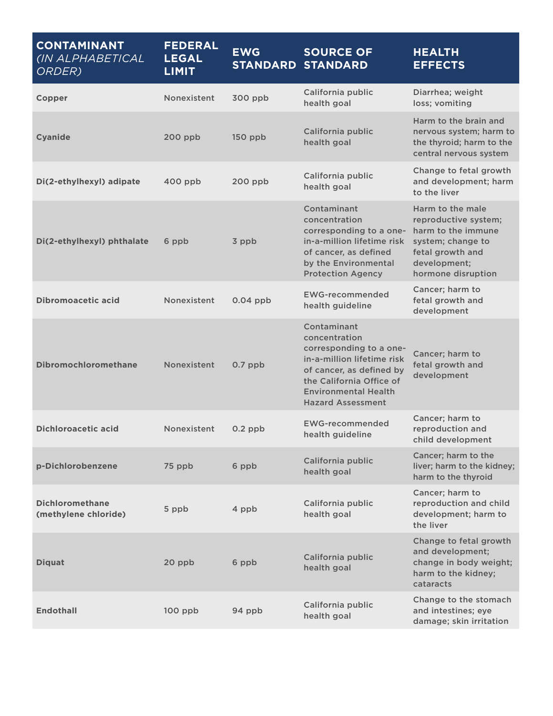| <b>CONTAMINANT</b><br>(IN ALPHABETICAL<br>ORDER) | <b>FEDERAL</b><br><b>LEGAL</b><br><b>LIMIT</b> | <b>EWG</b> | <b>SOURCE OF</b><br><b>STANDARD STANDARD</b>                                                                                                                                                             | <b>HEALTH</b><br><b>EFFECTS</b>                                                                                                               |
|--------------------------------------------------|------------------------------------------------|------------|----------------------------------------------------------------------------------------------------------------------------------------------------------------------------------------------------------|-----------------------------------------------------------------------------------------------------------------------------------------------|
| Copper                                           | Nonexistent                                    | 300 ppb    | California public<br>health goal                                                                                                                                                                         | Diarrhea; weight<br>loss; vomiting                                                                                                            |
| <b>Cyanide</b>                                   | 200 ppb                                        | $150$ ppb  | California public<br>health goal                                                                                                                                                                         | Harm to the brain and<br>nervous system; harm to<br>the thyroid; harm to the<br>central nervous system                                        |
| Di(2-ethylhexyl) adipate                         | $400$ ppb                                      | 200 ppb    | California public<br>health goal                                                                                                                                                                         | Change to fetal growth<br>and development; harm<br>to the liver                                                                               |
| Di(2-ethylhexyl) phthalate                       | 6 ppb                                          | 3 ppb      | Contaminant<br>concentration<br>corresponding to a one-<br>in-a-million lifetime risk<br>of cancer, as defined<br>by the Environmental<br><b>Protection Agency</b>                                       | Harm to the male<br>reproductive system;<br>harm to the immune<br>system; change to<br>fetal growth and<br>development;<br>hormone disruption |
| <b>Dibromoacetic acid</b>                        | Nonexistent                                    | $0.04$ ppb | <b>EWG-recommended</b><br>health guideline                                                                                                                                                               | Cancer; harm to<br>fetal growth and<br>development                                                                                            |
| <b>Dibromochloromethane</b>                      | Nonexistent                                    | $0.7$ ppb  | Contaminant<br>concentration<br>corresponding to a one-<br>in-a-million lifetime risk<br>of cancer, as defined by<br>the California Office of<br><b>Environmental Health</b><br><b>Hazard Assessment</b> | Cancer; harm to<br>fetal growth and<br>development                                                                                            |
| <b>Dichloroacetic acid</b>                       | Nonexistent                                    | $0.2$ ppb  | <b>EWG-recommended</b><br>health guideline                                                                                                                                                               | Cancer; harm to<br>reproduction and<br>child development                                                                                      |
| p-Dichlorobenzene                                | 75 ppb                                         | 6 ppb      | California public<br>health goal                                                                                                                                                                         | Cancer; harm to the<br>liver; harm to the kidney;<br>harm to the thyroid                                                                      |
| <b>Dichloromethane</b><br>(methylene chloride)   | 5 ppb                                          | 4 ppb      | California public<br>health goal                                                                                                                                                                         | Cancer; harm to<br>reproduction and child<br>development; harm to<br>the liver                                                                |
| <b>Diquat</b>                                    | 20 ppb                                         | 6 ppb      | California public<br>health goal                                                                                                                                                                         | Change to fetal growth<br>and development;<br>change in body weight;<br>harm to the kidney;<br>cataracts                                      |
| <b>Endothall</b>                                 | $100$ ppb                                      | 94 ppb     | California public<br>health goal                                                                                                                                                                         | Change to the stomach<br>and intestines; eye<br>damage; skin irritation                                                                       |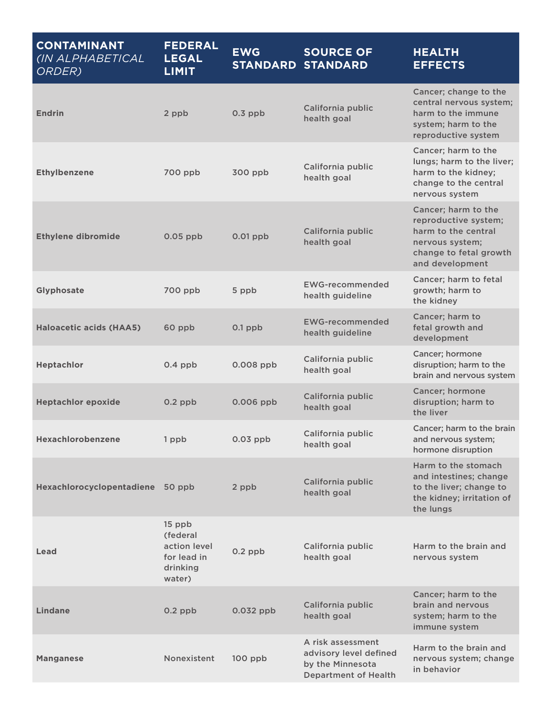| <b>CONTAMINANT</b><br>(IN ALPHABETICAL<br>ORDER) | <b>FEDERAL</b><br><b>LEGAL</b><br><b>LIMIT</b>                          | <b>EWG</b>  | <b>SOURCE OF</b><br><b>STANDARD STANDARD</b>                                                   | <b>HEALTH</b><br><b>EFFECTS</b>                                                                                                    |
|--------------------------------------------------|-------------------------------------------------------------------------|-------------|------------------------------------------------------------------------------------------------|------------------------------------------------------------------------------------------------------------------------------------|
| <b>Endrin</b>                                    | 2 ppb                                                                   | $0.3$ ppb   | California public<br>health goal                                                               | Cancer; change to the<br>central nervous system;<br>harm to the immune<br>system; harm to the<br>reproductive system               |
| <b>Ethylbenzene</b>                              | 700 ppb                                                                 | 300 ppb     | California public<br>health goal                                                               | Cancer; harm to the<br>lungs; harm to the liver;<br>harm to the kidney;<br>change to the central<br>nervous system                 |
| <b>Ethylene dibromide</b>                        | $0.05$ ppb                                                              | $0.01$ ppb  | California public<br>health goal                                                               | Cancer; harm to the<br>reproductive system;<br>harm to the central<br>nervous system;<br>change to fetal growth<br>and development |
| Glyphosate                                       | 700 ppb                                                                 | 5 ppb       | <b>EWG-recommended</b><br>health guideline                                                     | Cancer; harm to fetal<br>growth; harm to<br>the kidney                                                                             |
| <b>Haloacetic acids (HAA5)</b>                   | 60 ppb                                                                  | $0.1$ ppb   | <b>EWG-recommended</b><br>health guideline                                                     | Cancer; harm to<br>fetal growth and<br>development                                                                                 |
| Heptachlor                                       | $0.4$ ppb                                                               | $0.008$ ppb | California public<br>health goal                                                               | Cancer; hormone<br>disruption; harm to the<br>brain and nervous system                                                             |
| <b>Heptachlor epoxide</b>                        | $0.2$ ppb                                                               | $0.006$ ppb | California public<br>health goal                                                               | <b>Cancer</b> ; hormone<br>disruption; harm to<br>the liver                                                                        |
| Hexachlorobenzene                                | 1 ppb                                                                   | $0.03$ ppb  | California public<br>health goal                                                               | Cancer; harm to the brain<br>and nervous system;<br>hormone disruption                                                             |
| Hexachlorocyclopentadiene 50 ppb                 |                                                                         | 2 ppb       | California public<br>health goal                                                               | Harm to the stomach<br>and intestines; change<br>to the liver; change to<br>the kidney; irritation of<br>the lungs                 |
| Lead                                             | 15 ppb<br>(federal<br>action level<br>for lead in<br>drinking<br>water) | $0.2$ ppb   | California public<br>health goal                                                               | Harm to the brain and<br>nervous system                                                                                            |
| <b>Lindane</b>                                   | $0.2$ ppb                                                               | $0.032$ ppb | California public<br>health goal                                                               | Cancer; harm to the<br>brain and nervous<br>system; harm to the<br>immune system                                                   |
| <b>Manganese</b>                                 | Nonexistent                                                             | $100$ ppb   | A risk assessment<br>advisory level defined<br>by the Minnesota<br><b>Department of Health</b> | Harm to the brain and<br>nervous system; change<br>in behavior                                                                     |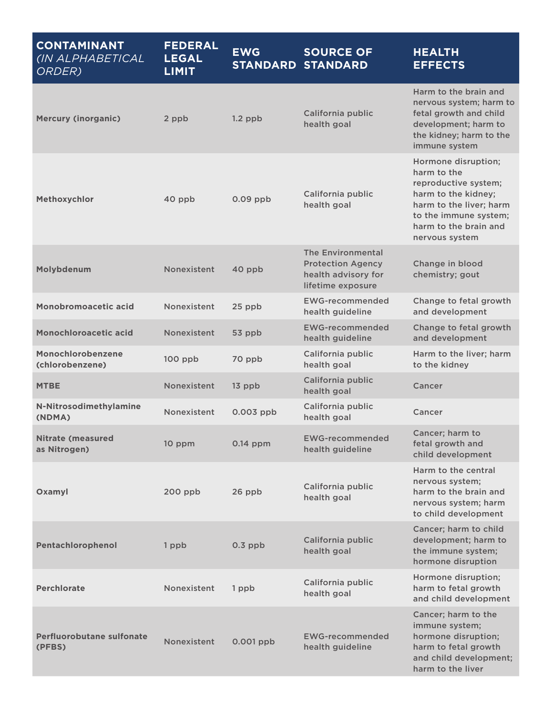| <b>CONTAMINANT</b><br>(IN ALPHABETICAL<br>ORDER) | <b>FEDERAL</b><br><b>LEGAL</b><br><b>LIMIT</b> | <b>EWG</b>  | <b>SOURCE OF</b><br><b>STANDARD STANDARD</b>                                                     | <b>HEALTH</b><br><b>EFFECTS</b>                                                                                                                                                  |
|--------------------------------------------------|------------------------------------------------|-------------|--------------------------------------------------------------------------------------------------|----------------------------------------------------------------------------------------------------------------------------------------------------------------------------------|
| <b>Mercury (inorganic)</b>                       | 2 ppb                                          | $1.2$ ppb   | California public<br>health goal                                                                 | Harm to the brain and<br>nervous system; harm to<br>fetal growth and child<br>development; harm to<br>the kidney; harm to the<br>immune system                                   |
| Methoxychlor                                     | 40 ppb                                         | $0.09$ ppb  | California public<br>health goal                                                                 | Hormone disruption;<br>harm to the<br>reproductive system;<br>harm to the kidney;<br>harm to the liver; harm<br>to the immune system;<br>harm to the brain and<br>nervous system |
| Molybdenum                                       | Nonexistent                                    | 40 ppb      | <b>The Environmental</b><br><b>Protection Agency</b><br>health advisory for<br>lifetime exposure | Change in blood<br>chemistry; gout                                                                                                                                               |
| Monobromoacetic acid                             | Nonexistent                                    | 25 ppb      | <b>EWG-recommended</b><br>health guideline                                                       | Change to fetal growth<br>and development                                                                                                                                        |
| Monochloroacetic acid                            | Nonexistent                                    | 53 ppb      | <b>EWG-recommended</b><br>health guideline                                                       | Change to fetal growth<br>and development                                                                                                                                        |
| Monochlorobenzene<br>(chlorobenzene)             | $100$ ppb                                      | 70 ppb      | California public<br>health goal                                                                 | Harm to the liver; harm<br>to the kidney                                                                                                                                         |
| <b>MTBE</b>                                      | Nonexistent                                    | $13$ ppb    | California public<br>health goal                                                                 | Cancer                                                                                                                                                                           |
| N-Nitrosodimethylamine<br>(NDMA)                 | Nonexistent                                    | $0.003$ ppb | California public<br>health goal                                                                 | Cancer                                                                                                                                                                           |
| <b>Nitrate (measured</b><br>as Nitrogen)         | 10 ppm                                         | $0.14$ ppm  | <b>EWG-recommended</b><br>health guideline                                                       | Cancer; harm to<br>fetal growth and<br>child development                                                                                                                         |
| Oxamyl                                           | 200 ppb                                        | 26 ppb      | California public<br>health goal                                                                 | Harm to the central<br>nervous system;<br>harm to the brain and<br>nervous system; harm<br>to child development                                                                  |
| Pentachlorophenol                                | 1 ppb                                          | $0.3$ ppb   | California public<br>health goal                                                                 | Cancer; harm to child<br>development; harm to<br>the immune system;<br>hormone disruption                                                                                        |
| <b>Perchlorate</b>                               | Nonexistent                                    | 1 ppb       | California public<br>health goal                                                                 | Hormone disruption;<br>harm to fetal growth<br>and child development                                                                                                             |
| <b>Perfluorobutane sulfonate</b><br>(PFBS)       | Nonexistent                                    | $0.001$ ppb | <b>EWG-recommended</b><br>health guideline                                                       | Cancer; harm to the<br>immune system;<br>hormone disruption;<br>harm to fetal growth<br>and child development;<br>harm to the liver                                              |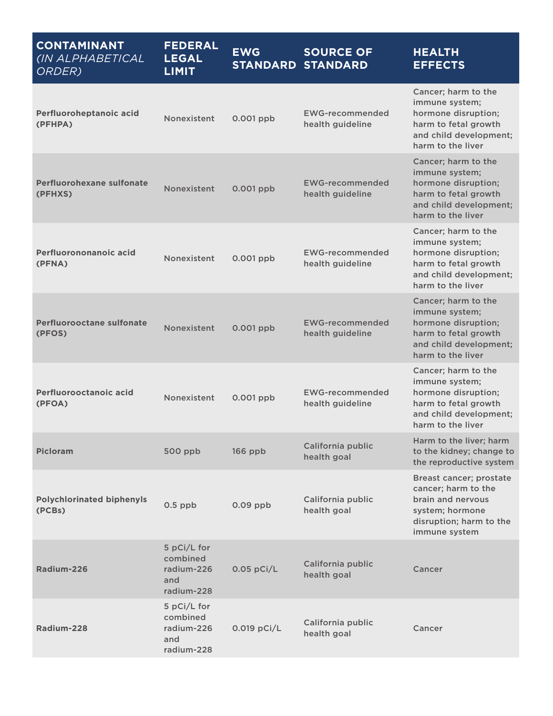| <b>CONTAMINANT</b><br>(IN ALPHABETICAL<br>ORDER) | <b>FEDERAL</b><br><b>LEGAL</b><br><b>LIMIT</b>             | <b>EWG</b>   | <b>SOURCE OF</b><br><b>STANDARD STANDARD</b> | <b>HEALTH</b><br><b>EFFECTS</b>                                                                                                     |
|--------------------------------------------------|------------------------------------------------------------|--------------|----------------------------------------------|-------------------------------------------------------------------------------------------------------------------------------------|
| Perfluoroheptanoic acid<br>(PFHPA)               | Nonexistent                                                | $0.001$ ppb  | <b>EWG-recommended</b><br>health guideline   | Cancer; harm to the<br>immune system;<br>hormone disruption;<br>harm to fetal growth<br>and child development;<br>harm to the liver |
| Perfluorohexane sulfonate<br>(PFHXS)             | Nonexistent                                                | 0.001 ppb    | <b>EWG-recommended</b><br>health guideline   | Cancer; harm to the<br>immune system;<br>hormone disruption;<br>harm to fetal growth<br>and child development;<br>harm to the liver |
| Perfluorononanoic acid<br>(PFNA)                 | Nonexistent                                                | $0.001$ ppb  | <b>EWG-recommended</b><br>health guideline   | Cancer; harm to the<br>immune system;<br>hormone disruption;<br>harm to fetal growth<br>and child development;<br>harm to the liver |
| Perfluorooctane sulfonate<br>(PFOS)              | Nonexistent                                                | 0.001 ppb    | <b>EWG-recommended</b><br>health guideline   | Cancer; harm to the<br>immune system;<br>hormone disruption;<br>harm to fetal growth<br>and child development;<br>harm to the liver |
| Perfluorooctanoic acid<br>(PFOA)                 | Nonexistent                                                | 0.001 ppb    | <b>EWG-recommended</b><br>health guideline   | Cancer; harm to the<br>immune system;<br>hormone disruption;<br>harm to fetal growth<br>and child development;<br>harm to the liver |
| <b>Picloram</b>                                  | 500 ppb                                                    | 166 ppb      | California public<br>health goal             | Harm to the liver; harm<br>to the kidney; change to<br>the reproductive system                                                      |
| <b>Polychlorinated biphenyls</b><br>(PCBs)       | $0.5$ ppb                                                  | $0.09$ ppb   | California public<br>health goal             | Breast cancer; prostate<br>cancer; harm to the<br>brain and nervous<br>system; hormone<br>disruption; harm to the<br>immune system  |
| Radium-226                                       | 5 pCi/L for<br>combined<br>radium-226<br>and<br>radium-228 | $0.05$ pCi/L | California public<br>health goal             | Cancer                                                                                                                              |
| Radium-228                                       | 5 pCi/L for<br>combined<br>radium-226<br>and<br>radium-228 | 0.019 pCi/L  | California public<br>health goal             | Cancer                                                                                                                              |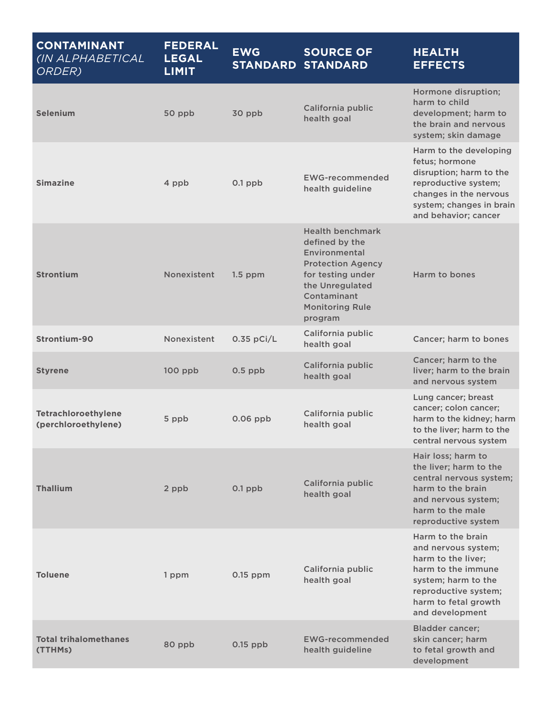| <b>CONTAMINANT</b><br>(IN ALPHABETICAL<br>ORDER) | <b>FEDERAL</b><br><b>LEGAL</b><br><b>LIMIT</b> | <b>EWG</b>   | <b>SOURCE OF</b><br><b>STANDARD STANDARD</b>                                                                                                                                       | <b>HEALTH</b><br><b>EFFECTS</b>                                                                                                                                                |
|--------------------------------------------------|------------------------------------------------|--------------|------------------------------------------------------------------------------------------------------------------------------------------------------------------------------------|--------------------------------------------------------------------------------------------------------------------------------------------------------------------------------|
| <b>Selenium</b>                                  | 50 ppb                                         | 30 ppb       | California public<br>health goal                                                                                                                                                   | Hormone disruption;<br>harm to child<br>development; harm to<br>the brain and nervous<br>system; skin damage                                                                   |
| <b>Simazine</b>                                  | 4 ppb                                          | $0.1$ ppb    | <b>EWG-recommended</b><br>health guideline                                                                                                                                         | Harm to the developing<br>fetus; hormone<br>disruption; harm to the<br>reproductive system;<br>changes in the nervous<br>system; changes in brain<br>and behavior; cancer      |
| <b>Strontium</b>                                 | Nonexistent                                    | $1.5$ ppm    | <b>Health benchmark</b><br>defined by the<br>Environmental<br><b>Protection Agency</b><br>for testing under<br>the Unregulated<br>Contaminant<br><b>Monitoring Rule</b><br>program | Harm to bones                                                                                                                                                                  |
| Strontium-90                                     | Nonexistent                                    | $0.35$ pCi/L | California public<br>health goal                                                                                                                                                   | Cancer; harm to bones                                                                                                                                                          |
| <b>Styrene</b>                                   | $100$ ppb                                      | $0.5$ ppb    | California public<br>health goal                                                                                                                                                   | Cancer; harm to the<br>liver; harm to the brain<br>and nervous system                                                                                                          |
| Tetrachloroethylene<br>(perchloroethylene)       | 5 ppb                                          | $0.06$ ppb   | California public<br>health goal                                                                                                                                                   | Lung cancer; breast<br>cancer; colon cancer;<br>harm to the kidney; harm<br>to the liver; harm to the<br>central nervous system                                                |
| <b>Thallium</b>                                  | 2 ppb                                          | $0.1$ ppb    | California public<br>health goal                                                                                                                                                   | Hair loss; harm to<br>the liver; harm to the<br>central nervous system;<br>harm to the brain<br>and nervous system;<br>harm to the male<br>reproductive system                 |
| <b>Toluene</b>                                   | 1 ppm                                          | $0.15$ ppm   | California public<br>health goal                                                                                                                                                   | Harm to the brain<br>and nervous system;<br>harm to the liver;<br>harm to the immune<br>system; harm to the<br>reproductive system;<br>harm to fetal growth<br>and development |
| <b>Total trihalomethanes</b><br>(TTHMs)          | 80 ppb                                         | $0.15$ ppb   | <b>EWG-recommended</b><br>health guideline                                                                                                                                         | <b>Bladder cancer;</b><br>skin cancer; harm<br>to fetal growth and<br>development                                                                                              |